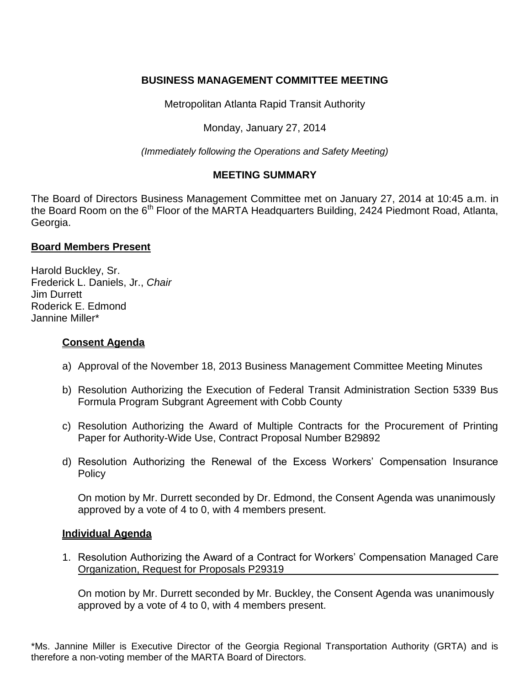# **BUSINESS MANAGEMENT COMMITTEE MEETING**

Metropolitan Atlanta Rapid Transit Authority

Monday, January 27, 2014

*(Immediately following the Operations and Safety Meeting)*

## **MEETING SUMMARY**

The Board of Directors Business Management Committee met on January 27, 2014 at 10:45 a.m. in the Board Room on the 6<sup>th</sup> Floor of the MARTA Headquarters Building, 2424 Piedmont Road, Atlanta, Georgia.

#### **Board Members Present**

Harold Buckley, Sr. Frederick L. Daniels, Jr., *Chair*  Jim Durrett Roderick E. Edmond Jannine Miller\*

### **Consent Agenda**

- a) Approval of the November 18, 2013 Business Management Committee Meeting Minutes
- b) Resolution Authorizing the Execution of Federal Transit Administration Section 5339 Bus Formula Program Subgrant Agreement with Cobb County
- c) Resolution Authorizing the Award of Multiple Contracts for the Procurement of Printing Paper for Authority-Wide Use, Contract Proposal Number B29892
- d) Resolution Authorizing the Renewal of the Excess Workers' Compensation Insurance Policy

On motion by Mr. Durrett seconded by Dr. Edmond, the Consent Agenda was unanimously approved by a vote of 4 to 0, with 4 members present.

#### **Individual Agenda**

1. Resolution Authorizing the Award of a Contract for Workers' Compensation Managed Care Organization, Request for Proposals P29319

On motion by Mr. Durrett seconded by Mr. Buckley, the Consent Agenda was unanimously approved by a vote of 4 to 0, with 4 members present.

\*Ms. Jannine Miller is Executive Director of the Georgia Regional Transportation Authority (GRTA) and is therefore a non-voting member of the MARTA Board of Directors.